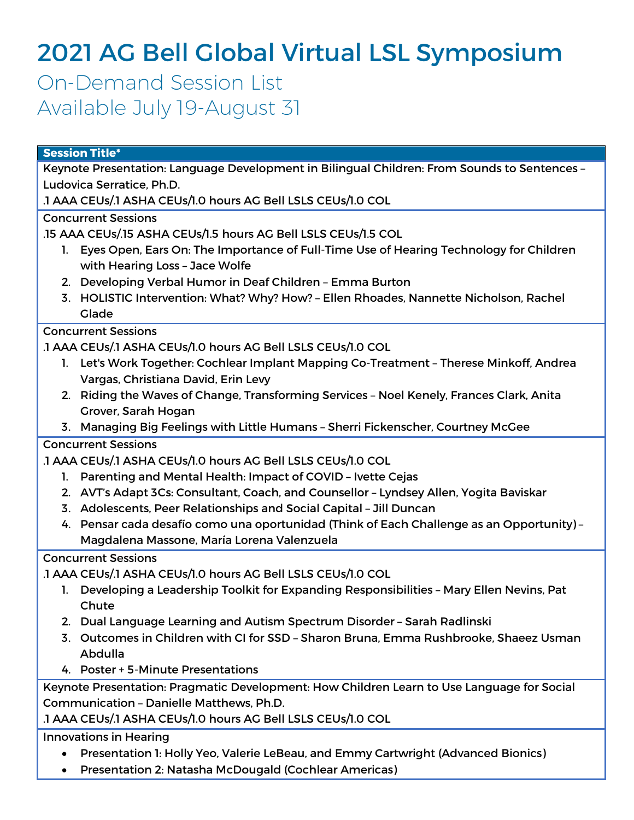# 2021 AG Bell Global Virtual LSL Symposium

# On-Demand Session List Available July 19-August 31

#### **Session Title\***

Keynote Presentation: Language Development in Bilingual Children: From Sounds to Sentences – Ludovica Serratice, Ph.D.

.1 AAA CEUs/.1 ASHA CEUs/1.0 hours AG Bell LSLS CEUs/1.0 COL

#### Concurrent Sessions

.15 AAA CEUs/.15 ASHA CEUs/1.5 hours AG Bell LSLS CEUs/1.5 COL

- 1. Eyes Open, Ears On: The Importance of Full-Time Use of Hearing Technology for Children with Hearing Loss – Jace Wolfe
- 2. Developing Verbal Humor in Deaf Children Emma Burton
- 3. HOLISTIC Intervention: What? Why? How? Ellen Rhoades, Nannette Nicholson, Rachel Glade

#### Concurrent Sessions

.1 AAA CEUs/.1 ASHA CEUs/1.0 hours AG Bell LSLS CEUs/1.0 COL

- 1. Let's Work Together: Cochlear Implant Mapping Co-Treatment Therese Minkoff, Andrea Vargas, Christiana David, Erin Levy
- 2. Riding the Waves of Change, Transforming Services Noel Kenely, Frances Clark, Anita Grover, Sarah Hogan
- 3. Managing Big Feelings with Little Humans Sherri Fickenscher, Courtney McGee

#### Concurrent Sessions

.1 AAA CEUs/.1 ASHA CEUs/1.0 hours AG Bell LSLS CEUs/1.0 COL

- 1. Parenting and Mental Health: Impact of COVID Ivette Cejas
- 2. AVT's Adapt 3Cs: Consultant, Coach, and Counsellor Lyndsey Allen, Yogita Baviskar
- 3. Adolescents, Peer Relationships and Social Capital Jill Duncan
- 4. Pensar cada desafío como una oportunidad (Think of Each Challenge as an Opportunity) Magdalena Massone, María Lorena Valenzuela

#### Concurrent Sessions

.1 AAA CEUs/.1 ASHA CEUs/1.0 hours AG Bell LSLS CEUs/1.0 COL

- 1. Developing a Leadership Toolkit for Expanding Responsibilities Mary Ellen Nevins, Pat Chute
- 2. Dual Language Learning and Autism Spectrum Disorder Sarah Radlinski
- 3. Outcomes in Children with CI for SSD Sharon Bruna, Emma Rushbrooke, Shaeez Usman Abdulla
- 4. Poster + 5-Minute Presentations

Keynote Presentation: Pragmatic Development: How Children Learn to Use Language for Social Communication – Danielle Matthews, Ph.D.

.1 AAA CEUs/.1 ASHA CEUs/1.0 hours AG Bell LSLS CEUs/1.0 COL

Innovations in Hearing

- Presentation 1: Holly Yeo, Valerie LeBeau, and Emmy Cartwright (Advanced Bionics)
- Presentation 2: Natasha McDougald (Cochlear Americas)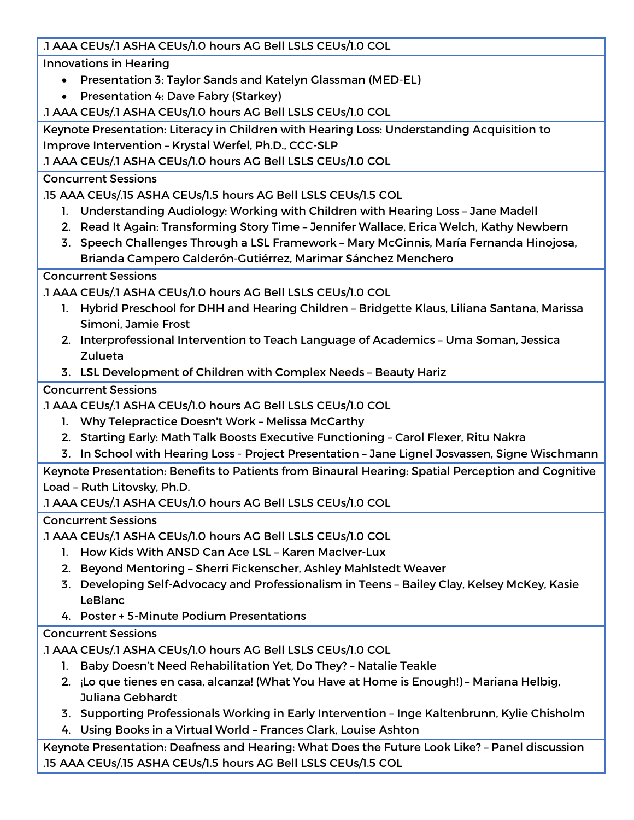### .1 AAA CEUs/.1 ASHA CEUs/1.0 hours AG Bell LSLS CEUs/1.0 COL

Innovations in Hearing

- Presentation 3: Taylor Sands and Katelyn Glassman (MED-EL)
- Presentation 4: Dave Fabry (Starkey)

.1 AAA CEUs/.1 ASHA CEUs/1.0 hours AG Bell LSLS CEUs/1.0 COL

Keynote Presentation: Literacy in Children with Hearing Loss: Understanding Acquisition to Improve Intervention – Krystal Werfel, Ph.D., CCC-SLP

.1 AAA CEUs/.1 ASHA CEUs/1.0 hours AG Bell LSLS CEUs/1.0 COL

### Concurrent Sessions

.15 AAA CEUs/.15 ASHA CEUs/1.5 hours AG Bell LSLS CEUs/1.5 COL

- 1. Understanding Audiology: Working with Children with Hearing Loss Jane Madell
- 2. Read It Again: Transforming Story Time Jennifer Wallace, Erica Welch, Kathy Newbern
- 3. Speech Challenges Through a LSL Framework Mary McGinnis, María Fernanda Hinojosa, Brianda Campero Calderón-Gutiérrez, Marimar Sánchez Menchero

# Concurrent Sessions

.1 AAA CEUs/.1 ASHA CEUs/1.0 hours AG Bell LSLS CEUs/1.0 COL

- 1. Hybrid Preschool for DHH and Hearing Children Bridgette Klaus, Liliana Santana, Marissa Simoni, Jamie Frost
- 2. Interprofessional Intervention to Teach Language of Academics Uma Soman, Jessica Zulueta
- 3. LSL Development of Children with Complex Needs Beauty Hariz

# Concurrent Sessions

.1 AAA CEUs/.1 ASHA CEUs/1.0 hours AG Bell LSLS CEUs/1.0 COL

- 1. Why Telepractice Doesn't Work Melissa McCarthy
- 2. Starting Early: Math Talk Boosts Executive Functioning Carol Flexer, Ritu Nakra
- 3. In School with Hearing Loss Project Presentation Jane Lignel Josvassen, Signe Wischmann

Keynote Presentation: Benefits to Patients from Binaural Hearing: Spatial Perception and Cognitive Load – Ruth Litovsky, Ph.D.

.1 AAA CEUs/.1 ASHA CEUs/1.0 hours AG Bell LSLS CEUs/1.0 COL

## Concurrent Sessions

.1 AAA CEUs/.1 ASHA CEUs/1.0 hours AG Bell LSLS CEUs/1.0 COL

- 1. How Kids With ANSD Can Ace LSL Karen MacIver-Lux
- 2. Beyond Mentoring Sherri Fickenscher, Ashley Mahlstedt Weaver
- 3. Developing Self-Advocacy and Professionalism in Teens Bailey Clay, Kelsey McKey, Kasie LeBlanc
- 4. Poster + 5-Minute Podium Presentations

# Concurrent Sessions

.1 AAA CEUs/.1 ASHA CEUs/1.0 hours AG Bell LSLS CEUs/1.0 COL

- 1. Baby Doesn't Need Rehabilitation Yet, Do They? Natalie Teakle
- 2. ¡Lo que tienes en casa, alcanza! (What You Have at Home is Enough!) Mariana Helbig, Juliana Gebhardt
- 3. Supporting Professionals Working in Early Intervention Inge Kaltenbrunn, Kylie Chisholm
- 4. Using Books in a Virtual World Frances Clark, Louise Ashton

Keynote Presentation: Deafness and Hearing: What Does the Future Look Like? – Panel discussion .15 AAA CEUs/.15 ASHA CEUs/1.5 hours AG Bell LSLS CEUs/1.5 COL